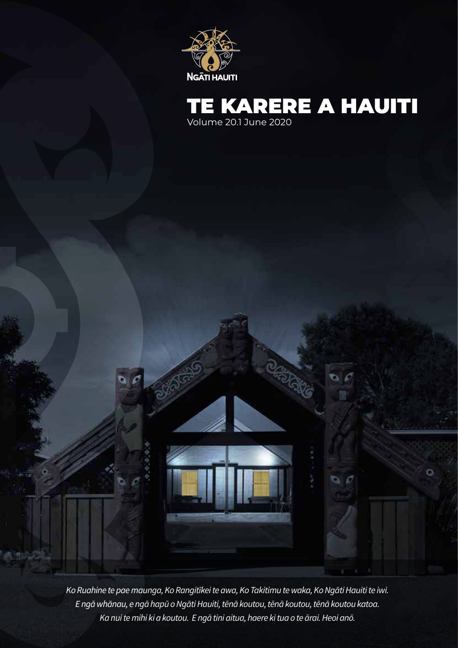



Report

*Ko Ruahine te pae maunga, Ko Rangitīkei te awa, Ko Takitimu te waka, Ko Ngāti Hauiti te iwi. E ngā whānau, e ngā hapū o Ngāti Hauiti, tēnā koutou, tēnā koutou, tēnā koutou katoa. Ka nui te mihi ki a koutou. E ngā tini aitua, haere ki tua o te ārai. Heoi anō.*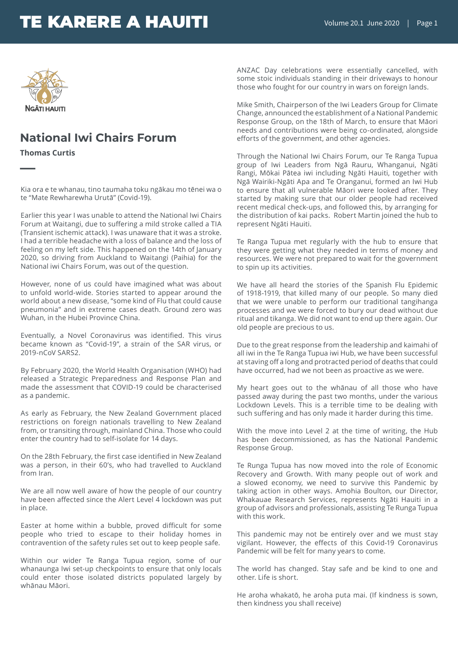

### **National Iwi Chairs Forum**

**Thomas Curtis**

**—**

Kia ora e te whanau, tino taumaha toku ngākau mo tēnei wa o te "Mate Rewharewha Urutā" (Covid-19).

Earlier this year I was unable to attend the National Iwi Chairs Forum at Waitangi, due to suffering a mild stroke called a TIA (Transient ischemic attack). I was unaware that it was a stroke. I had a terrible headache with a loss of balance and the loss of feeling on my left side. This happened on the 14th of January 2020, so driving from Auckland to Waitangi (Paihia) for the National iwi Chairs Forum, was out of the question.

However, none of us could have imagined what was about to unfold world-wide. Stories started to appear around the world about a new disease, "some kind of Flu that could cause pneumonia" and in extreme cases death. Ground zero was Wuhan, in the Hubei Province China.

Eventually, a Novel Coronavirus was identified. This virus became known as "Covid-19", a strain of the SAR virus, or 2019-nCoV SARS2.

By February 2020, the World Health Organisation (WHO) had released a Strategic Preparedness and Response Plan and made the assessment that COVID-19 could be characterised as a pandemic.

As early as February, the New Zealand Government placed restrictions on foreign nationals travelling to New Zealand from, or transiting through, mainland China. Those who could enter the country had to self-isolate for 14 days.

On the 28th February, the first case identified in New Zealand was a person, in their 60's, who had travelled to Auckland from Iran.

We are all now well aware of how the people of our country have been affected since the Alert Level 4 lockdown was put in place.

Easter at home within a bubble, proved difficult for some people who tried to escape to their holiday homes in contravention of the safety rules set out to keep people safe.

Within our wider Te Ranga Tupua region, some of our whanaunga Iwi set-up checkpoints to ensure that only locals could enter those isolated districts populated largely by whānau Māori.

ANZAC Day celebrations were essentially cancelled, with some stoic individuals standing in their driveways to honour those who fought for our country in wars on foreign lands.

Mike Smith, Chairperson of the Iwi Leaders Group for Climate Change, announced the establishment of a National Pandemic Response Group, on the 18th of March, to ensure that Māori needs and contributions were being co-ordinated, alongside efforts of the government, and other agencies.

Through the National Iwi Chairs Forum, our Te Ranga Tupua group of Iwi Leaders from Ngā Rauru, Whanganui, Ngāti Rangi, Mōkai Pātea iwi including Ngāti Hauiti, together with Ngā Wairiki-Ngāti Apa and Te Oranganui, formed an Iwi Hub to ensure that all vulnerable Māori were looked after. They started by making sure that our older people had received recent medical check-ups, and followed this, by arranging for the distribution of kai packs. Robert Martin joined the hub to represent Ngāti Hauiti.

Te Ranga Tupua met regularly with the hub to ensure that they were getting what they needed in terms of money and resources. We were not prepared to wait for the government to spin up its activities.

We have all heard the stories of the Spanish Flu Epidemic of 1918-1919, that killed many of our people. So many died that we were unable to perform our traditional tangihanga processes and we were forced to bury our dead without due ritual and tikanga. We did not want to end up there again. Our old people are precious to us.

Due to the great response from the leadership and kaimahi of all iwi in the Te Ranga Tupua iwi Hub, we have been successful at staving off a long and protracted period of deaths that could have occurred, had we not been as proactive as we were.

My heart goes out to the whānau of all those who have passed away during the past two months, under the various Lockdown Levels. This is a terrible time to be dealing with such suffering and has only made it harder during this time.

With the move into Level 2 at the time of writing, the Hub has been decommissioned, as has the National Pandemic Response Group.

Te Runga Tupua has now moved into the role of Economic Recovery and Growth. With many people out of work and a slowed economy, we need to survive this Pandemic by taking action in other ways. Amohia Boulton, our Director, Whakauae Research Services, represents Ngāti Hauiti in a group of advisors and professionals, assisting Te Runga Tupua with this work.

This pandemic may not be entirely over and we must stay vigilant. However, the effects of this Covid-19 Coronavirus Pandemic will be felt for many years to come.

The world has changed. Stay safe and be kind to one and other. Life is short.

He aroha whakatō, he aroha puta mai. (If kindness is sown, then kindness you shall receive)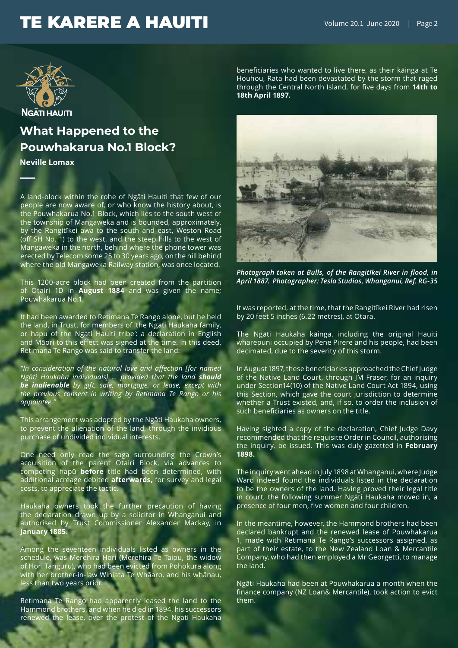

# **What Happened to the Pouwhakarua No.1 Block?**

**Neville Lomax**

**—**

A land-block within the rohe of Ngāti Hauiti that few of our people are now aware of, or who know the history about, is the Pouwhakarua No.1 Block, which lies to the south west of the township of Mangaweka and is bounded, approximately, by the Rangitīkei awa to the south and east, Weston Road (off SH No. 1) to the west, and the steep hills to the west of Mangaweka in the north, behind where the phone tower was erected by Telecom some 25 to 30 years ago, on the hill behind where the old Mangaweka Railway station, was once located.

This 1200-acre block had been created from the partition of Otairi 1D in **August 1884** and was given the name; Pouwhakarua No.1.

It had been awarded to Retimana Te Rango alone, but he held the land, in Trust, for members of 'the Ngati Haukaha family, or hapu of the Ngati Hauiti tribe': a declaration in English and Māori to this effect was signed at the time. In this deed, Retimana Te Rango was said to transfer the land:

*"In consideration of the natural love and affection [for named Ngāti Haukaha individuals] … provided that the land should be inalienable by gift, sale, mortgage, or lease, except with the previous consent in writing by Retimana Te Rango or his*  appointee.

This arrangement was adopted by the Ngāti Haukaha owners, to prevent the alienation of the land, through the invidious purchase of undivided individual interests.

One need only read the saga surrounding the Crown's acquisition of the parent Otairi Block, via advances to competing hapū **before** title had been determined, with additional acreage debited **afterwards,** for survey and legal costs, to appreciate the tactic.

Haukaha owners took the further precaution of having the declaration drawn up by a solicitor in Whanganui and authorised by Trust Commissioner Alexander Mackay, in **January 1885.** 

Among the seventeen individuals listed as owners in the schedule, was Merehira Hori (Merehira Te Taipu, the widow of Hori Tanguru), who had been evicted from Pohokura along with her brother-in-law Winiata Te Whāaro, and his whānau, less than two years prior.

Retimana Te Rango had apparently leased the land to the Hammond brothers, and when he died in 1894, his successors renewed the lease, over the protest of the Ngati Haukaha beneficiaries who wanted to live there, as their kāinga at Te Houhou, Rata had been devastated by the storm that raged through the Central North Island, for five days from **14th to 18th April 1897.** 



*Photograph taken at Bulls, of the Rangitīkei River in flood, in April 1887. Photographer: Tesla Studios, Whanganui, Ref. RG-35*

It was reported, at the time, that the Rangitīkei River had risen by 20 feet 5 inches (6.22 metres), at Otara.

The Ngāti Haukaha kāinga, including the original Hauiti wharepuni occupied by Pene Pirere and his people, had been decimated, due to the severity of this storm.

In August 1897, these beneficiaries approached the Chief Judge of the Native Land Court, through JM Fraser, for an inquiry under Section14(10) of the Native Land Court Act 1894, using this Section, which gave the court jurisdiction to determine whether a Trust existed, and, if so, to order the inclusion of such beneficiaries as owners on the title.

Having sighted a copy of the declaration, Chief Judge Davy recommended that the requisite Order in Council, authorising the inquiry, be issued. This was duly gazetted in **February 1898.** 

The inquiry went ahead in July 1898 at Whanganui, where Judge Ward indeed found the individuals listed in the declaration to be the owners of the land. Having proved their legal title in court, the following summer Ngāti Haukaha moved in, a presence of four men, five women and four children.

In the meantime, however, the Hammond brothers had been declared bankrupt and the renewed lease of Pouwhakarua 1, made with Retimana Te Rango's successors assigned, as part of their estate, to the New Zealand Loan & Mercantile Company, who had then employed a Mr Georgetti, to manage the land.

Ngāti Haukaha had been at Pouwhakarua a month when the finance company (NZ Loan& Mercantile), took action to evict them.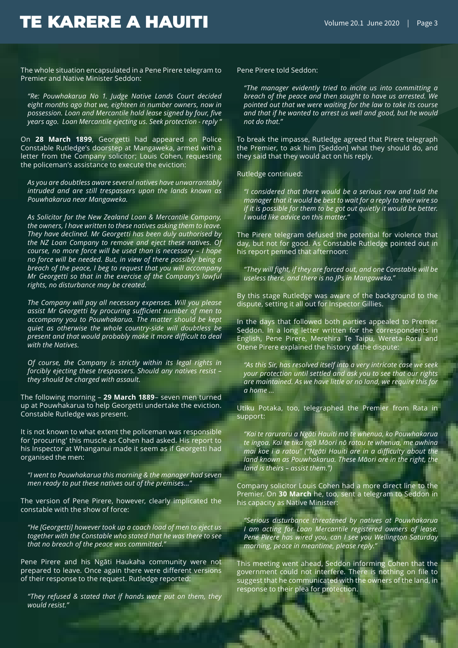The whole situation encapsulated in a Pene Pirere telegram to Premier and Native Minister Seddon:

*"Re: Pouwhakarua No 1. Judge Native Lands Court decided eight months ago that we, eighteen in number owners, now in possession. Loan and Mercantile hold lease signed by four, five years ago. Loan Mercantile ejecting us. Seek protection - reply "*

On **28 March 1899**, Georgetti had appeared on Police Constable Rutledge's doorstep at Mangaweka, armed with a letter from the Company solicitor; Louis Cohen, requesting the policeman's assistance to execute the eviction:

*As you are doubtless aware several natives have unwarrantably intruded and are still trespassers upon the lands known as Pouwhakarua near Mangaweka.* 

*As Solicitor for the New Zealand Loan & Mercantile Company, the owners, I have written to these natives asking them to leave. They have declined. Mr Georgetti has been duly authorised by the NZ Loan Company to remove and eject these natives. Of course, no more force will be used than is necessary – I hope no force will be needed. But, in view of there possibly being a breach of the peace, I beg to request that you will accompany Mr Georgetti so that in the exercise of the Company's lawful rights, no disturbance may be created.* 

*The Company will pay all necessary expenses. Will you please assist Mr Georgetti by procuring sufficient number of men to accompany you to Pouwhakarua. The matter should be kept quiet as otherwise the whole country-side will doubtless be present and that would probably make it more difficult to deal with the Natives.* 

*Of course, the Company is strictly within its legal rights in forcibly ejecting these trespassers. Should any natives resist – they should be charged with assault.*

The following morning – **29 March 1889**– seven men turned up at Pouwhakarua to help Georgetti undertake the eviction. Constable Rutledge was present.

It is not known to what extent the policeman was responsible for 'procuring' this muscle as Cohen had asked. His report to his Inspector at Whanganui made it seem as if Georgetti had organised the men:

*"I went to Pouwhakarua this morning & the manager had seven men ready to put these natives out of the premises..."* 

The version of Pene Pirere, however, clearly implicated the constable with the show of force:

*"He [Georgetti] however took up a coach load of men to eject us together with the Constable who stated that he was there to see that no breach of the peace was committed."*

Pene Pirere and his Ngāti Haukaha community were not prepared to leave. Once again there were different versions of their response to the request. Rutledge reported:

*"They refused & stated that if hands were put on them, they would resist."* 

Pene Pirere told Seddon:

*"The manager evidently tried to incite us into committing a breach of the peace and then sought to have us arrested. We pointed out that we were waiting for the law to take its course and that if he wanted to arrest us well and good, but he would not do that."*

To break the impasse, Rutledge agreed that Pirere telegraph the Premier, to ask him [Seddon] what they should do, and they said that they would act on his reply.

Rutledge continued:

*"I considered that there would be a serious row and told the manager that it would be best to wait for a reply to their wire so if it is possible for them to be got out quietly it would be better. I would like advice on this matter."*

The Pirere telegram defused the potential for violence that day, but not for good. As Constable Rutledge pointed out in his report penned that afternoon:

*"They will fight, if they are forced out, and one Constable will be useless there, and there is no JPs in Mangaweka."* 

By this stage Rutledge was aware of the background to the dispute, setting it all out for Inspector Gillies.

In the days that followed both parties appealed to Premier Seddon. In a long letter written for the correspondents in English, Pene Pirere, Merehira Te Taipu, Wereta Roru and Otene Pirere explained the history of the dispute:

*"As this Sir, has resolved itself into a very intricate case we seek your protection until settled and ask you to see that our rights are maintained. As we have little or no land, we require this for a home ...*

Utiku Potaka, too, telegraphed the Premier from Rata in support:

*"Kai te raruraru a Ngāti Hauiti mō te whenua, ko Pouwhakarua te ingoa. Kai te tika ngā Māori nō ratou te whenua, me awhina mai koe i a ratou" ("Ngāti Hauiti are in a difficulty about the land known as Pouwhakarua. These Māori are in the right, the land is theirs – assist them.")*

Company solicitor Louis Cohen had a more direct line to the Premier. On **30 March** he, too, sent a telegram to Seddon in his capacity as Native Minister:

*"Serious disturbance threatened by natives at Pouwhakarua I am acting for Loan Mercantile registered owners of lease. Pene Pirere has wired you, can I see you Wellington Saturday morning, peace in meantime, please reply."*

This meeting went ahead, Seddon informing Cohen that the government could not interfere. There is nothing on file to suggest that he communicated with the owners of the land, in response to their plea for protection.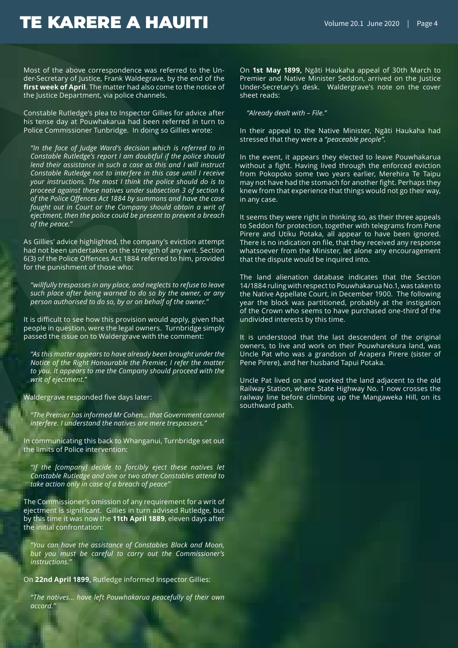Most of the above correspondence was referred to the Under-Secretary of Justice, Frank Waldegrave, by the end of the **first week of April**. The matter had also come to the notice of the Justice Department, via police channels.

Constable Rutledge's plea to Inspector Gillies for advice after his tense day at Pouwhakarua had been referred in turn to Police Commissioner Tunbridge. In doing so Gillies wrote:

*"In the face of Judge Ward's decision which is referred to in Constable Rutledge's report I am doubtful if the police should lend their assistance in such a case as this and I will instruct Constable Rutledge not to interfere in this case until I receive your instructions. The most I think the police should do is to proceed against these natives under subsection 3 of section 6 of the Police Offences Act 1884 by summons and have the case fought out in Court or the Company should obtain a writ of ejectment, then the police could be present to prevent a breach of the peace."*

As Gillies' advice highlighted, the company's eviction attempt had not been undertaken on the strength of any writ. Section 6(3) of the Police Offences Act 1884 referred to him, provided for the punishment of those who:

*"willfully trespasses in any place, and neglects to refuse to leave such place after being warned to do so by the owner, or any person authorised to do so, by or on behalf of the owner."* 

It is difficult to see how this provision would apply, given that people in question, were the legal owners. Turnbridge simply passed the issue on to Waldergrave with the comment:

*"As this matter appears to have already been brought under the Notice of the Right Honourable the Premier, I refer the matter to you. It appears to me the Company should proceed with the writ of ejectment."*

Waldergrave responded five days later:

*"The Premier has informed Mr Cohen… that Government cannot interfere. I understand the natives are mere trespassers."*

In communicating this back to Whanganui, Turnbridge set out the limits of Police intervention:

*"If the [company] decide to forcibly eject these natives let Constable Rutledge and one or two other Constables attend to take action only in case of a breach of peace"* 

The Commissioner's omission of any requirement for a writ of ejectment is significant. Gillies in turn advised Rutledge, but by this time it was now the **11th April 1889**, eleven days after the initial confrontation:

*"You can have the assistance of Constables Black and Moon, but you must be careful to carry out the Commissioner's instructions."*

On **22nd April 1899,** Rutledge informed Inspector Gillies:

*"The natives… have left Pouwhakarua peacefully of their own accord."*

On **1st May 1899,** Ngāti Haukaha appeal of 30th March to Premier and Native Minister Seddon, arrived on the Justice Under-Secretary's desk. Waldergrave's note on the cover sheet reads:

*"Already dealt with – File."*

In their appeal to the Native Minister, Ngāti Haukaha had stressed that they were a *"peaceable people".*

In the event, it appears they elected to leave Pouwhakarua without a fight. Having lived through the enforced eviction from Pokopoko some two years earlier, Merehira Te Taipu may not have had the stomach for another fight. Perhaps they knew from that experience that things would not go their way, in any case.

It seems they were right in thinking so, as their three appeals to Seddon for protection, together with telegrams from Pene Pirere and Utiku Potaka, all appear to have been ignored. There is no indication on file, that they received any response whatsoever from the Minister, let alone any encouragement that the dispute would be inquired into.

The land alienation database indicates that the Section 14/1884 ruling with respect to Pouwhakarua No.1, was taken to the Native Appellate Court, in December 1900. The following year the block was partitioned, probably at the instigation of the Crown who seems to have purchased one-third of the undivided interests by this time.

It is understood that the last descendent of the original owners, to live and work on their Pouwharekura land, was Uncle Pat who was a grandson of Arapera Pirere (sister of Pene Pirere), and her husband Tapui Potaka.

Uncle Pat lived on and worked the land adjacent to the old Railway Station, where State Highway No. 1 now crosses the railway line before climbing up the Mangaweka Hill, on its southward path.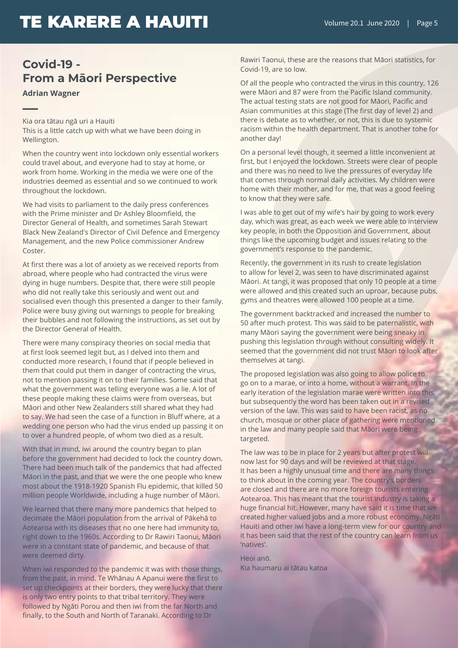### **Covid-19 - From a Māori Perspective**

**Adrian Wagner**

**—**Kia ora tātau ngā uri a Hauiti This is a little catch up with what we have been doing in Wellington.

When the country went into lockdown only essential workers could travel about, and everyone had to stay at home, or work from home. Working in the media we were one of the industries deemed as essential and so we continued to work throughout the lockdown.

We had visits to parliament to the daily press conferences with the Prime minister and Dr Ashley Bloomfield, the Director General of Health, and sometimes Sarah Stewart Black New Zealand's Director of Civil Defence and Emergency Management, and the new Police commissioner Andrew Coster.

At first there was a lot of anxiety as we received reports from abroad, where people who had contracted the virus were dying in huge numbers. Despite that, there were still people who did not really take this seriously and went out and socialised even though this presented a danger to their family. Police were busy giving out warnings to people for breaking their bubbles and not following the instructions, as set out by the Director General of Health.

There were many conspiracy theories on social media that at first look seemed legit but, as I delved into them and conducted more research, I found that if people believed in them that could put them in danger of contracting the virus, not to mention passing it on to their families. Some said that what the government was telling everyone was a lie. A lot of these people making these claims were from overseas, but Māori and other New Zealanders still shared what they had to say. We had seen the case of a function in Bluff where, at a wedding one person who had the virus ended up passing it on to over a hundred people, of whom two died as a result.

With that in mind, iwi around the country began to plan before the government had decided to lock the country down. There had been much talk of the pandemics that had affected Māori in the past, and that we were the one people who knew most about the 1918-1920 Spanish Flu epidemic, that killed 50 million people Worldwide, including a huge number of Māori.

We learned that there many more pandemics that helped to decimate the Māori population from the arrival of Pākehā to Aotearoa with its diseases that no one here had immunity to, right down to the 1960s. According to Dr Rawiri Taonui, Māori were in a constant state of pandemic, and because of that were deemed dirty.

When iwi responded to the pandemic it was with those things, from the past, in mind. Te Whānau A Apanui were the first to set up checkpoints at their borders, they were lucky that there is only two entry points to that tribal territory. They were followed by Ngāti Porou and then iwi from the far North and finally, to the South and North of Taranaki. According to Dr

Rawiri Taonui, these are the reasons that Māori statistics, for Covid-19, are so low.

Of all the people who contracted the virus in this country, 126 were Māori and 87 were from the Pacific Island community. The actual testing stats are not good for Māori, Pacific and Asian communities at this stage (The first day of level 2) and there is debate as to whether, or not, this is due to systemic racism within the health department. That is another tohe for another day!

On a personal level though, it seemed a little inconvenient at first, but I enjoyed the lockdown. Streets were clear of people and there was no need to live the pressures of everyday life that comes through normal daily activities. My children were home with their mother, and for me, that was a good feeling to know that they were safe.

I was able to get out of my wife's hair by going to work every day, which was great, as each week we were able to interview key people, in both the Opposition and Government, about things like the upcoming budget and issues relating to the government's response to the pandemic.

Recently, the government in its rush to create legislation to allow for level 2, was seen to have discriminated against Māori. At tangi, it was proposed that only 10 people at a time were allowed and this created such an uproar, because pubs, gyms and theatres were allowed 100 people at a time.

The government backtracked and increased the number to 50 after much protest. This was said to be paternalistic, with many Māori saying the government were being sneaky in pushing this legislation through without consulting widely. It seemed that the government did not trust Māori to look after themselves at tangi.

The proposed legislation was also going to allow police to go on to a marae, or into a home, without a warrant. In the early iteration of the legislation marae were written into this, but subsequently the word has been taken out in a revised version of the law. This was said to have been racist, as no church, mosque or other place of gathering were mentioned in the law and many people said that Māori were being targeted.

The law was to be in place for 2 years but after protest will now last for 90 days and will be reviewed at that stage. It has been a highly unusual time and there are many things to think about in the coming year. The country's borders are closed and there are no more foreign tourists entering Aotearoa. This has meant that the tourist industry is taking a huge financial hit. However, many have said it is time that we created higher valued jobs and a more robust economy. Ngāti Hauiti and other iwi have a long-term view for our country and it has been said that the rest of the country can learn from us 'natives'.

Heoi anō. Kia haumaru ai tātau katoa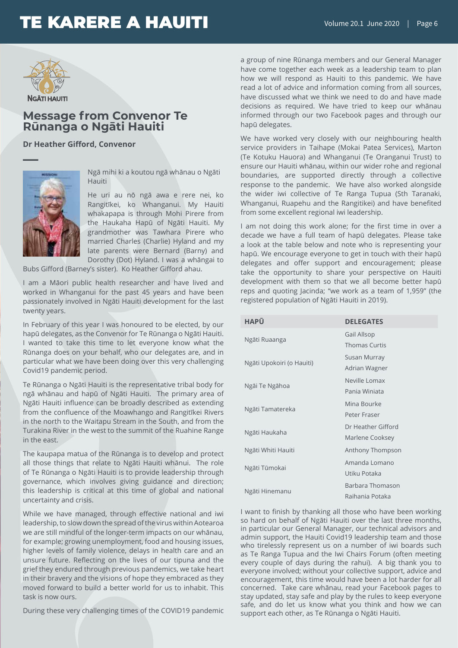

### **Message from Convenor Te Rūnanga o Ngāti Hauiti**

**Dr Heather Gifford, Convenor**



Ngā mihi ki a koutou ngā whānau o Ngāti Hauiti

He uri au nō ngā awa e rere nei, ko Rangitīkei, ko Whanganui. My Hauiti whakapapa is through Mohi Pirere from the Haukaha Hapū of Ngāti Hauiti. My grandmother was Tawhara Pirere who married Charles (Charlie) Hyland and my late parents were Bernard (Barny) and Dorothy (Dot) Hyland. I was a whāngai to

Bubs Gifford (Barney's sister). Ko Heather Gifford ahau.

I am a Māori public health researcher and have lived and worked in Whanganui for the past 45 years and have been passionately involved in Ngāti Hauiti development for the last twenty years.

In February of this year I was honoured to be elected, by our hapū delegates, as the Convenor for Te Rūnanga o Ngāti Hauiti. I wanted to take this time to let everyone know what the Rūnanga does on your behalf, who our delegates are, and in particular what we have been doing over this very challenging Covid19 pandemic period.

Te Rūnanga o Ngāti Hauiti is the representative tribal body for ngā whānau and hapū of Ngāti Hauiti. The primary area of Ngāti Hauiti influence can be broadly described as extending from the confluence of the Moawhango and Rangitīkei Rivers in the north to the Waitapu Stream in the South, and from the Turakina River in the west to the summit of the Ruahine Range in the east.

The kaupapa matua of the Rūnanga is to develop and protect all those things that relate to Ngāti Hauiti whānui. The role of Te Rūnanga o Ngāti Hauiti is to provide leadership through governance, which involves giving guidance and direction; this leadership is critical at this time of global and national uncertainty and crisis.

While we have managed, through effective national and iwi leadership, to slow down the spread of the virus within Aotearoa we are still mindful of the longer-term impacts on our whānau, for example; growing unemployment, food and housing issues, higher levels of family violence, delays in health care and an unsure future. Reflecting on the lives of our tipuna and the grief they endured through previous pandemics, we take heart in their bravery and the visions of hope they embraced as they moved forward to build a better world for us to inhabit. This task is now ours.

During these very challenging times of the COVID19 pandemic

a group of nine Rūnanga members and our General Manager have come together each week as a leadership team to plan how we will respond as Hauiti to this pandemic. We have read a lot of advice and information coming from all sources, have discussed what we think we need to do and have made decisions as required. We have tried to keep our whānau informed through our two Facebook pages and through our hapū delegates.

We have worked very closely with our neighbouring health service providers in Taihape (Mokai Patea Services), Marton (Te Kotuku Hauora) and Whanganui (Te Oranganui Trust) to ensure our Hauiti whānau, within our wider rohe and regional boundaries, are supported directly through a collective response to the pandemic. We have also worked alongside the wider iwi collective of Te Ranga Tupua (Sth Taranaki, Whanganui, Ruapehu and the Rangitikei) and have benefited from some excellent regional iwi leadership.

I am not doing this work alone; for the first time in over a decade we have a full team of hapū delegates. Please take a look at the table below and note who is representing your hapū. We encourage everyone to get in touch with their hapū delegates and offer support and encouragement; please take the opportunity to share your perspective on Hauiti development with them so that we all become better hapū reps and quoting Jacinda; "we work as a team of 1,959" (the registered population of Ngāti Hauiti in 2019).

| <b>HAPŪ</b>               | <b>DELEGATES</b>                    |
|---------------------------|-------------------------------------|
| Ngāti Ruaanga             | Gail Allsop<br><b>Thomas Curtis</b> |
|                           |                                     |
| Ngāti Upokoiri (o Hauiti) | Susan Murray                        |
|                           | Adrian Wagner                       |
| Ngāi Te Ngāhoa            | Neville Lomax                       |
|                           | Panja Winjata                       |
| Ngāti Tamatereka          | Mina Bourke                         |
|                           | Peter Fraser                        |
| Ngāti Haukaha             | Dr Heather Gifford                  |
|                           | Marlene Cooksey                     |
| Ngāti Whiti Hauiti        | Anthony Thompson                    |
| Ngāti Tūmokai             | Amanda Lomano                       |
|                           | Utiku Potaka                        |
| Ngāti Hinemanu            | Barbara Thomason                    |
|                           | Raihania Potaka                     |

I want to finish by thanking all those who have been working so hard on behalf of Ngāti Hauiti over the last three months, in particular our General Manager, our technical advisors and admin support, the Hauiti Covid19 leadership team and those who tirelessly represent us on a number of iwi boards such as Te Ranga Tupua and the Iwi Chairs Forum (often meeting every couple of days during the rahui). A big thank you to everyone involved; without your collective support, advice and encouragement, this time would have been a lot harder for all concerned. Take care whānau, read your Facebook pages to stay updated, stay safe and play by the rules to keep everyone safe, and do let us know what you think and how we can support each other, as Te Rūnanga o Ngāti Hauiti.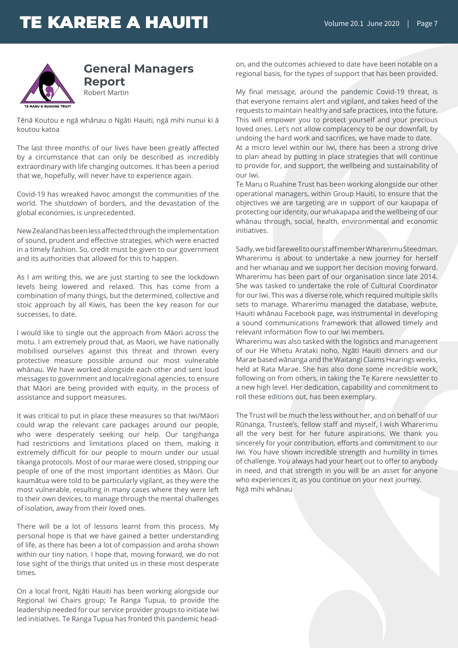

### **General Managers Report** Robert Martin

Tēnā Koutou e ngā whānau o Ngāti Hauiti, ngā mihi nunui ki ā koutou katoa

The last three months of our lives have been greatly affected by a circumstance that can only be described as incredibly extraordinary with life changing outcomes. It has been a period that we, hopefully, will never have to experience again.

Covid-19 has wreaked havoc amongst the communities of the world. The shutdown of borders, and the devastation of the global economies, is unprecedented.

New Zealand has been less affected through the implementation of sound, prudent and effective strategies, which were enacted in a timely fashion. So, credit must be given to our government and its authorities that allowed for this to happen.

As I am writing this, we are just starting to see the lockdown levels being lowered and relaxed. This has come from a combination of many things, but the determined, collective and stoic approach by all Kiwis, has been the key reason for our successes, to date.

I would like to single out the approach from Māori across the motu. I am extremely proud that, as Maori, we have nationally mobilised ourselves against this threat and thrown every protective measure possible around our most vulnerable whānau. We have worked alongside each other and sent loud messages to government and local/regional agencies, to ensure that Māori are being provided with equity, in the process of assistance and support measures.

It was critical to put in place these measures so that Iwi/Māori could wrap the relevant care packages around our people, who were desperately seeking our help. Our tangihanga had restrictions and limitations placed on them, making it extremely difficult for our people to mourn under our usual tikanga protocols. Most of our marae were closed, stripping our people of one of the most important identities as Māori. Our kaumātua were told to be particularly vigilant, as they were the most vulnerable, resulting in many cases where they were left to their own devices, to manage through the mental challenges of isolation, away from their loved ones.

There will be a lot of lessons learnt from this process. My personal hope is that we have gained a better understanding of life, as there has been a lot of compassion and aroha shown within our tiny nation. I hope that, moving forward, we do not lose sight of the things that united us in these most desperate times.

On a local front, Ngāti Hauiti has been working alongside our Regional Iwi Chairs group; Te Ranga Tupua, to provide the leadership needed for our service provider groups to initiate Iwi led initiatives. Te Ranga Tupua has fronted this pandemic head-

on, and the outcomes achieved to date have been notable on a regional basis, for the types of support that has been provided.

My final message, around the pandemic Covid-19 threat, is that everyone remains alert and vigilant, and takes heed of the requests to maintain healthy and safe practices, into the future. This will empower you to protect yourself and your precious loved ones. Let's not allow complacency to be our downfall, by undoing the hard work and sacrifices, we have made to date. At a micro level within our Iwi, there has been a strong drive to plan ahead by putting in place strategies that will continue to provide for, and support, the wellbeing and sustainability of our Iwi.

Te Maru o Ruahine Trust has been working alongside our other operational managers, within Group Hauiti, to ensure that the objectives we are targeting are in support of our kaupapa of protecting our identity, our whakapapa and the wellbeing of our whānau through, social, health, environmental and economic initiatives.

Sadly, we bid farewell to our staff member Wharerimu Steedman. Wharerimu is about to undertake a new journey for herself and her whanau and we support her decision moving forward. Wharerimu has been part of our organisation since late 2014. She was tasked to undertake the role of Cultural Coordinator for our Iwi. This was a diverse role, which required multiple skills sets to manage. Wharerimu managed the database, website, Hauiti whānau Facebook page, was instrumental in developing a sound communications framework that allowed timely and relevant information flow to our Iwi members.

Wharerimu was also tasked with the logistics and management of our He Whetu Arataki noho, Ngāti Hauiti dinners and our Marae based wānanga and the Waitangi Claims Hearings weeks, held at Rata Marae. She has also done some incredible work, following on from others, in taking the Te Karere newsletter to a new high level. Her dedication, capability and commitment to roll these editions out, has been exemplary.

The Trust will be much the less without her, and on behalf of our Rūnanga, Trustee's, fellow staff and myself, I wish Wharerimu all the very best for her future aspirations. We thank you sincerely for your contribution, efforts and commitment to our Iwi. You have shown incredible strength and humility in times of challenge. You always had your heart out to offer to anybody in need, and that strength in you will be an asset for anyone who experiences it, as you continue on your next journey. Ngā mihi whānau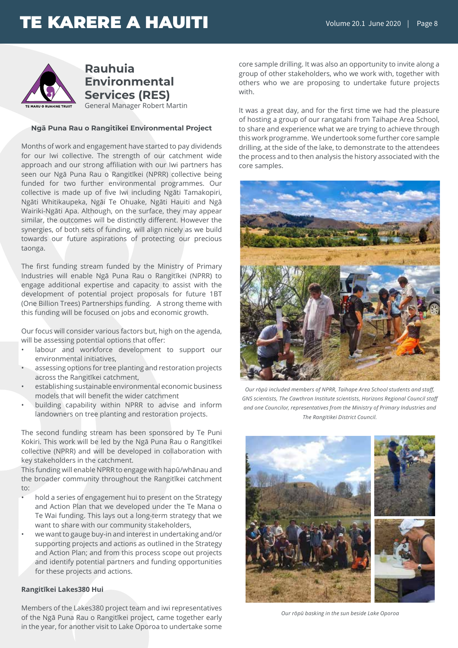## TE KARERE A HAUITI Volume 20.1 June 2020



**Rauhuia Environmental Services (RES)**

General Manager Robert Martin

#### **Ngā Puna Rau o Rangitīkei Environmental Project**

Months of work and engagement have started to pay dividends for our Iwi collective. The strength of our catchment wide approach and our strong affiliation with our Iwi partners has seen our Ngā Puna Rau o Rangitīkei (NPRR) collective being funded for two further environmental programmes. Our collective is made up of five Iwi including Ngāti Tamakopiri, Ngāti Whitikaupeka, Ngāi Te Ohuake, Ngāti Hauiti and Ngā Wairiki-Ngāti Apa. Although, on the surface, they may appear similar, the outcomes will be distinctly different. However the synergies, of both sets of funding, will align nicely as we build towards our future aspirations of protecting our precious taonga.

The first funding stream funded by the Ministry of Primary Industries will enable Ngā Puna Rau o Rangitīkei (NPRR) to engage additional expertise and capacity to assist with the development of potential project proposals for future 1BT (One Billion Trees) Partnerships funding. A strong theme with this funding will be focused on jobs and economic growth.

Our focus will consider various factors but, high on the agenda, will be assessing potential options that offer:

- labour and workforce development to support our environmental initiatives,
- assessing options for tree planting and restoration projects across the Rangitīkei catchment,
- establishing sustainable environmental economic business models that will benefit the wider catchment
- building capability within NPRR to advise and inform landowners on tree planting and restoration projects.

The second funding stream has been sponsored by Te Puni Kokiri. This work will be led by the Ngā Puna Rau o Rangitīkei collective (NPRR) and will be developed in collaboration with key stakeholders in the catchment.

This funding will enable NPRR to engage with hapū/whānau and the broader community throughout the Rangitīkei catchment to:

- hold a series of engagement hui to present on the Strategy and Action Plan that we developed under the Te Mana o Te Wai funding. This lays out a long-term strategy that we want to share with our community stakeholders,
- we want to gauge buy-in and interest in undertaking and/or supporting projects and actions as outlined in the Strategy and Action Plan; and from this process scope out projects and identify potential partners and funding opportunities for these projects and actions.

#### **Rangitīkei Lakes380 Hui**

Members of the Lakes380 project team and iwi representatives of the Ngā Puna Rau o Rangitīkei project, came together early in the year, for another visit to Lake Oporoa to undertake some

core sample drilling. It was also an opportunity to invite along a group of other stakeholders, who we work with, together with others who we are proposing to undertake future projects with.

It was a great day, and for the first time we had the pleasure of hosting a group of our rangatahi from Taihape Area School, to share and experience what we are trying to achieve through this work programme. We undertook some further core sample drilling, at the side of the lake, to demonstrate to the attendees the process and to then analysis the history associated with the core samples.



*Our rōpū included members of NPRR, Taihape Area School students and staff, GNS scientists, The Cawthron Institute scientists, Horizons Regional Council staff and one Councilor, representatives from the Ministry of Primary Industries and The Rangitikei District Council.*



*Our rōpū basking in the sun beside Lake Oporoa*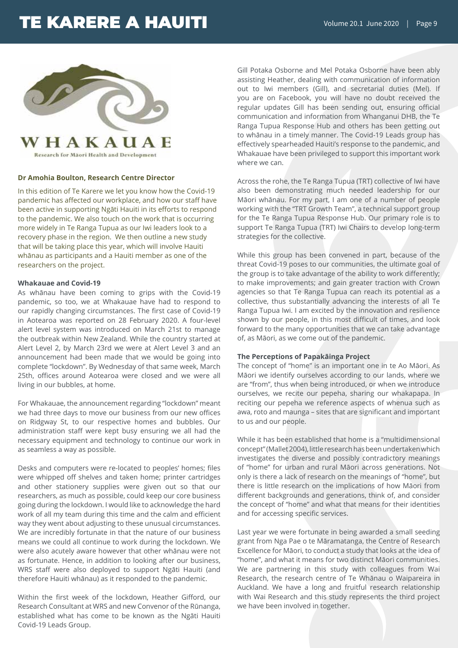

Research for Maori Health and Development

#### **Dr Amohia Boulton, Research Centre Director**

In this edition of Te Karere we let you know how the Covid-19 pandemic has affected our workplace, and how our staff have been active in supporting Ngāti Hauiti in its efforts to respond to the pandemic. We also touch on the work that is occurring more widely in Te Ranga Tupua as our Iwi leaders look to a recovery phase in the region. We then outline a new study that will be taking place this year, which will involve Hauiti whānau as participants and a Hauiti member as one of the researchers on the project.

#### **Whakauae and Covid-19**

As whānau have been coming to grips with the Covid-19 pandemic, so too, we at Whakauae have had to respond to our rapidly changing circumstances. The first case of Covid-19 in Aotearoa was reported on 28 February 2020. A four-level alert level system was introduced on March 21st to manage the outbreak within New Zealand. While the country started at Alert Level 2, by March 23rd we were at Alert Level 3 and an announcement had been made that we would be going into complete "lockdown". By Wednesday of that same week, March 25th, offices around Aotearoa were closed and we were all living in our bubbles, at home.

For Whakauae, the announcement regarding "lockdown" meant we had three days to move our business from our new offices on Ridgway St, to our respective homes and bubbles. Our administration staff were kept busy ensuring we all had the necessary equipment and technology to continue our work in as seamless a way as possible.

Desks and computers were re-located to peoples' homes; files were whipped off shelves and taken home; printer cartridges and other stationery supplies were given out so that our researchers, as much as possible, could keep our core business going during the lockdown. I would like to acknowledge the hard work of all my team during this time and the calm and efficient way they went about adjusting to these unusual circumstances. We are incredibly fortunate in that the nature of our business means we could all continue to work during the lockdown. We were also acutely aware however that other whānau were not as fortunate. Hence, in addition to looking after our business, WRS staff were also deployed to support Ngāti Hauiti (and therefore Hauiti whānau) as it responded to the pandemic.

Within the first week of the lockdown, Heather Gifford, our Research Consultant at WRS and new Convenor of the Rūnanga, established what has come to be known as the Ngāti Hauiti Covid-19 Leads Group.

Gill Potaka Osborne and Mel Potaka Osborne have been ably assisting Heather, dealing with communication of information out to Iwi members (Gill), and secretarial duties (Mel). If you are on Facebook, you will have no doubt received the regular updates Gill has been sending out, ensuring official communication and information from Whanganui DHB, the Te Ranga Tupua Response Hub and others has been getting out to whānau in a timely manner. The Covid-19 Leads group has effectively spearheaded Hauiti's response to the pandemic, and Whakauae have been privileged to support this important work where we can.

Across the rohe, the Te Ranga Tupua (TRT) collective of Iwi have also been demonstrating much needed leadership for our Māori whānau. For my part, I am one of a number of people working with the "TRT Growth Team", a technical support group for the Te Ranga Tupua Response Hub. Our primary role is to support Te Ranga Tupua (TRT) Iwi Chairs to develop long-term strategies for the collective.

While this group has been convened in part, because of the threat Covid-19 poses to our communities, the ultimate goal of the group is to take advantage of the ability to work differently; to make improvements; and gain greater traction with Crown agencies so that Te Ranga Tupua can reach its potential as a collective, thus substantially advancing the interests of all Te Ranga Tupua Iwi. I am excited by the innovation and resilience shown by our people, in this most difficult of times, and look forward to the many opportunities that we can take advantage of, as Māori, as we come out of the pandemic.

#### **The Perceptions of Papakāinga Project**

The concept of "home" is an important one in te Ao Māori. As Māori we identify ourselves according to our lands, where we are "from", thus when being introduced, or when we introduce ourselves, we recite our pepeha, sharing our whakapapa. In reciting our pepeha we reference aspects of whenua such as awa, roto and maunga – sites that are significant and important to us and our people.

While it has been established that home is a "multidimensional concept" (Mallet 2004), little research has been undertaken which investigates the diverse and possibly contradictory meanings of "home" for urban and rural Māori across generations. Not only is there a lack of research on the meanings of "home", but there is little research on the implications of how Māori from different backgrounds and generations, think of, and consider the concept of "home" and what that means for their identities and for accessing specific services.

Last year we were fortunate in being awarded a small seeding grant from Nga Pae o te Māramatanga, the Centre of Research Excellence for Māori, to conduct a study that looks at the idea of "home", and what it means for two distinct Māori communities. We are partnering in this study with colleagues from Wai Research, the research centre of Te Whānau o Waipareira in Auckland. We have a long and fruitful research relationship with Wai Research and this study represents the third project we have been involved in together.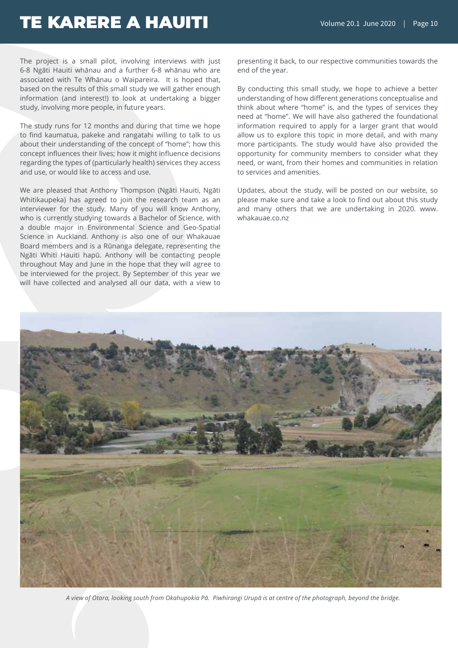The project is a small pilot, involving interviews with just 6-8 Ngāti Hauiti whānau and a further 6-8 whānau who are associated with Te Whānau o Waipareira. It is hoped that, based on the results of this small study we will gather enough information (and interest!) to look at undertaking a bigger study, involving more people, in future years.

The study runs for 12 months and during that time we hope to find kaumatua, pakeke and rangatahi willing to talk to us about their understanding of the concept of "home"; how this concept influences their lives; how it might influence decisions regarding the types of (particularly health) services they access and use, or would like to access and use.

We are pleased that Anthony Thompson (Ngāti Hauiti, Ngāti Whitikaupeka) has agreed to join the research team as an interviewer for the study. Many of you will know Anthony, who is currently studying towards a Bachelor of Science, with a double major in Environmental Science and Geo-Spatial Science in Auckland. Anthony is also one of our Whakauae Board members and is a Rūnanga delegate, representing the Ngāti Whiti Hauiti hapū. Anthony will be contacting people throughout May and June in the hope that they will agree to be interviewed for the project. By September of this year we will have collected and analysed all our data, with a view to

presenting it back, to our respective communities towards the end of the year.

By conducting this small study, we hope to achieve a better understanding of how different generations conceptualise and think about where "home" is, and the types of services they need at "home". We will have also gathered the foundational information required to apply for a larger grant that would allow us to explore this topic in more detail, and with many more participants. The study would have also provided the opportunity for community members to consider what they need, or want, from their homes and communities in relation to services and amenities.

Updates, about the study, will be posted on our website, so please make sure and take a look to find out about this study and many others that we are undertaking in 2020. www. whakauae.co.nz



*A view of Otara, looking south from Okahupokia Pā. Piwhirangi Urupā is at centre of the photograph, beyond the bridge.*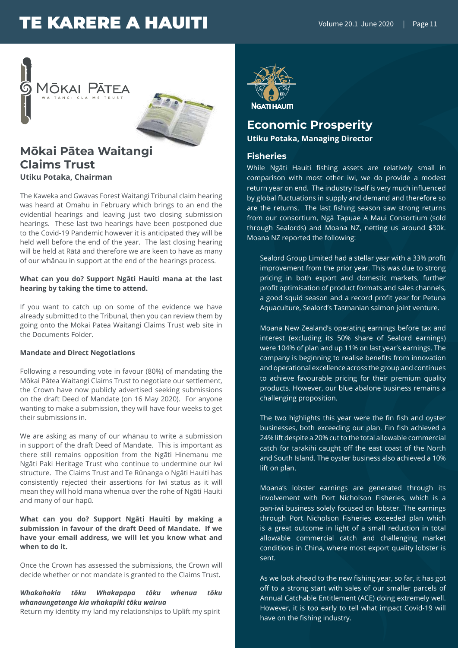



### **Mōkai Pātea Waitangi Claims Trust Utiku Potaka, Chairman**

The Kaweka and Gwavas Forest Waitangi Tribunal claim hearing was heard at Omahu in February which brings to an end the evidential hearings and leaving just two closing submission hearings. These last two hearings have been postponed due to the Covid-19 Pandemic however it is anticipated they will be held well before the end of the year. The last closing hearing will be held at Rātā and therefore we are keen to have as many of our whānau in support at the end of the hearings process.

#### **What can you do? Support Ngāti Hauiti mana at the last hearing by taking the time to attend.**

If you want to catch up on some of the evidence we have already submitted to the Tribunal, then you can review them by going onto the Mōkai Patea Waitangi Claims Trust web site in the Documents Folder.

#### **Mandate and Direct Negotiations**

Following a resounding vote in favour (80%) of mandating the Mōkai Pātea Waitangi Claims Trust to negotiate our settlement, the Crown have now publicly advertised seeking submissions on the draft Deed of Mandate (on 16 May 2020). For anyone wanting to make a submission, they will have four weeks to get their submissions in.

We are asking as many of our whānau to write a submission in support of the draft Deed of Mandate. This is important as there still remains opposition from the Ngāti Hinemanu me Ngāti Paki Heritage Trust who continue to undermine our iwi structure. The Claims Trust and Te Rūnanga o Ngāti Hauiti has consistently rejected their assertions for Iwi status as it will mean they will hold mana whenua over the rohe of Ngāti Hauiti and many of our hapū.

#### **What can you do? Support Ngāti Hauiti by making a submission in favour of the draft Deed of Mandate. If we have your email address, we will let you know what and when to do it.**

Once the Crown has assessed the submissions, the Crown will decide whether or not mandate is granted to the Claims Trust.

*Whakahokia tōku Whakapapa tōku whenua tōku whanaungatanga kia whakapiki tōku wairua* Return my identity my land my relationships to Uplift my spirit



### **NGATI HAUITI**

### **Economic Prosperity Utiku Potaka, Managing Director**

### **Fisheries**

While Ngāti Hauiti fishing assets are relatively small in comparison with most other iwi, we do provide a modest return year on end. The industry itself is very much influenced by global fluctuations in supply and demand and therefore so are the returns. The last fishing season saw strong returns from our consortium, Ngā Tapuae A Maui Consortium (sold through Sealords) and Moana NZ, netting us around \$30k. Moana NZ reported the following:

Sealord Group Limited had a stellar year with a 33% profit improvement from the prior year. This was due to strong pricing in both export and domestic markets, further profit optimisation of product formats and sales channels, a good squid season and a record profit year for Petuna Aquaculture, Sealord's Tasmanian salmon joint venture.

Moana New Zealand's operating earnings before tax and interest (excluding its 50% share of Sealord earnings) were 104% of plan and up 11% on last year's earnings. The company is beginning to realise benefits from innovation and operational excellence across the group and continues to achieve favourable pricing for their premium quality products. However, our blue abalone business remains a challenging proposition.

The two highlights this year were the fin fish and oyster businesses, both exceeding our plan. Fin fish achieved a 24% lift despite a 20% cut to the total allowable commercial catch for tarakihi caught off the east coast of the North and South Island. The oyster business also achieved a 10% lift on plan.

Moana's lobster earnings are generated through its involvement with Port Nicholson Fisheries, which is a pan-iwi business solely focused on lobster. The earnings through Port Nicholson Fisheries exceeded plan which is a great outcome in light of a small reduction in total allowable commercial catch and challenging market conditions in China, where most export quality lobster is sent.

As we look ahead to the new fishing year, so far, it has got off to a strong start with sales of our smaller parcels of Annual Catchable Entitlement (ACE) doing extremely well. However, it is too early to tell what impact Covid-19 will have on the fishing industry.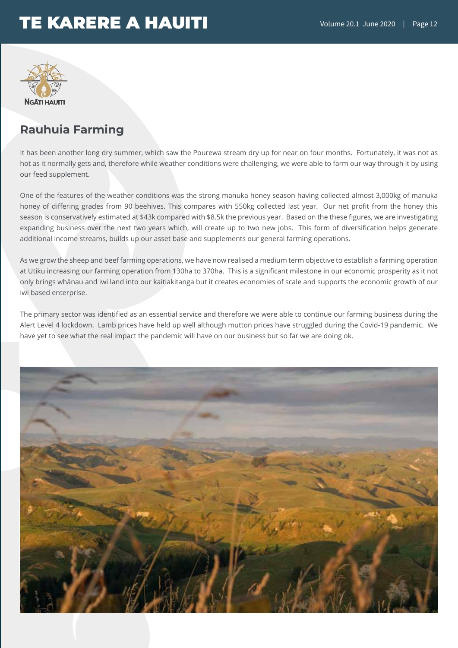

### **Rauhuia Farming**

It has been another long dry summer, which saw the Pourewa stream dry up for near on four months. Fortunately, it was not as hot as it normally gets and, therefore while weather conditions were challenging, we were able to farm our way through it by using our feed supplement.

One of the features of the weather conditions was the strong manuka honey season having collected almost 3,000kg of manuka honey of differing grades from 90 beehives. This compares with 550kg collected last year. Our net profit from the honey this season is conservatively estimated at \$43k compared with \$8.5k the previous year. Based on the these figures, we are investigating expanding business over the next two years which, will create up to two new jobs. This form of diversification helps generate additional income streams, builds up our asset base and supplements our general farming operations.

As we grow the sheep and beef farming operations, we have now realised a medium term objective to establish a farming operation at Utiku increasing our farming operation from 130ha to 370ha. This is a significant milestone in our economic prosperity as it not only brings whānau and iwi land into our kaitiakitanga but it creates economies of scale and supports the economic growth of our iwi based enterprise.

The primary sector was identified as an essential service and therefore we were able to continue our farming business during the Alert Level 4 lockdown. Lamb prices have held up well although mutton prices have struggled during the Covid-19 pandemic. We have yet to see what the real impact the pandemic will have on our business but so far we are doing ok.

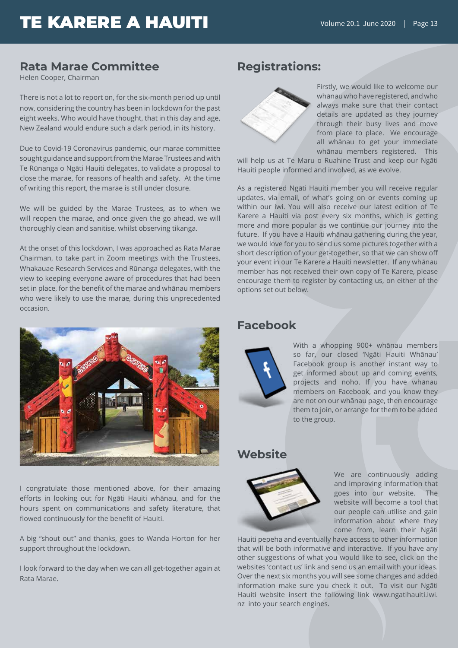### **Rata Marae Committee**

Helen Cooper, Chairman

There is not a lot to report on, for the six-month period up until now, considering the country has been in lockdown for the past eight weeks. Who would have thought, that in this day and age, New Zealand would endure such a dark period, in its history.

Due to Covid-19 Coronavirus pandemic, our marae committee sought guidance and support from the Marae Trustees and with Te Rūnanga o Ngāti Hauiti delegates, to validate a proposal to close the marae, for reasons of health and safety. At the time of writing this report, the marae is still under closure.

We will be guided by the Marae Trustees, as to when we will reopen the marae, and once given the go ahead, we will thoroughly clean and sanitise, whilst observing tikanga.

At the onset of this lockdown, I was approached as Rata Marae Chairman, to take part in Zoom meetings with the Trustees, Whakauae Research Services and Rūnanga delegates, with the view to keeping everyone aware of procedures that had been set in place, for the benefit of the marae and whānau members who were likely to use the marae, during this unprecedented occasion.



I congratulate those mentioned above, for their amazing efforts in looking out for Ngāti Hauiti whānau, and for the hours spent on communications and safety literature, that flowed continuously for the benefit of Hauiti.

A big "shout out" and thanks, goes to Wanda Horton for her support throughout the lockdown.

I look forward to the day when we can all get-together again at Rata Marae.

### **Registrations:**



Firstly, we would like to welcome our whānau who have registered, and who always make sure that their contact details are updated as they journey through their busy lives and move from place to place. We encourage all whānau to get your immediate whānau members registered. This

will help us at Te Maru o Ruahine Trust and keep our Ngāti Hauiti people informed and involved, as we evolve.

As a registered Ngāti Hauiti member you will receive regular updates, via email, of what's going on or events coming up within our iwi. You will also receive our latest edition of Te Karere a Hauiti via post every six months, which is getting more and more popular as we continue our journey into the future. If you have a Hauiti whānau gathering during the year, we would love for you to send us some pictures together with a short description of your get-together, so that we can show off your event in our Te Karere a Hauiti newsletter. If any whānau member has not received their own copy of Te Karere, please encourage them to register by contacting us, on either of the options set out below.

### **Facebook**



With a whopping 900+ whānau members so far, our closed 'Ngāti Hauiti Whānau' Facebook group is another instant way to get informed about up and coming events, projects and noho. If you have whānau members on Facebook, and you know they are not on our whānau page, then encourage them to join, or arrange for them to be added to the group.

### **Website**



We are continuously adding and improving information that goes into our website. The website will become a tool that our people can utilise and gain information about where they come from, learn their Ngāti

Hauiti pepeha and eventually have access to other information that will be both informative and interactive. If you have any other suggestions of what you would like to see, click on the websites 'contact us' link and send us an email with your ideas. Over the next six months you will see some changes and added information make sure you check it out. To visit our Ngāti Hauiti website insert the following link www.ngatihauiti.iwi. nz into your search engines.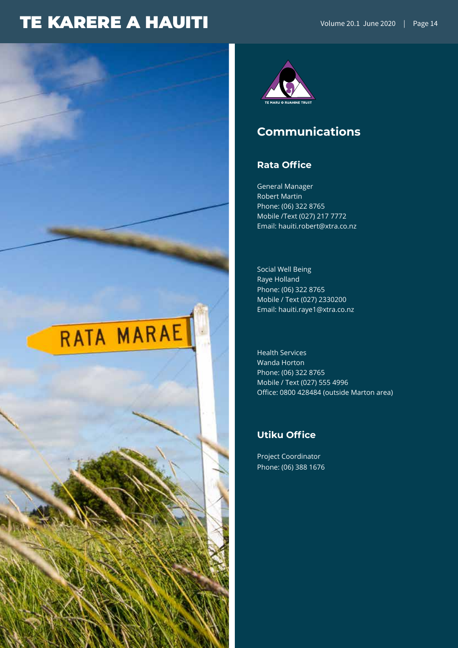



### **Communications**

### **Rata Office**

General Manager Robert Martin Phone: (06) 322 8765 Mobile /Text (027) 217 7772 Email: hauiti.robert@xtra.co.nz

Social Well Being Raye Holland Phone: (06) 322 8765 Mobile / Text (027) 2330200 Email: hauiti.raye1@xtra.co.nz

Health Services Wanda Horton Phone: (06) 322 8765 Mobile / Text (027) 555 4996 Office: 0800 428484 (outside Marton area)

### **Utiku Office**

Project Coordinator Phone: (06) 388 1676